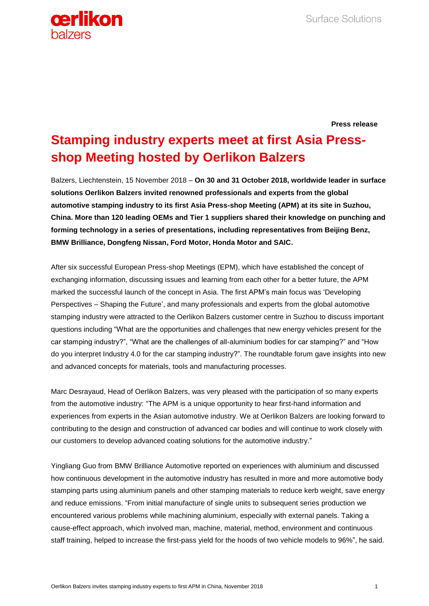

**Press release**

## **Stamping industry experts meet at first Asia Pressshop Meeting hosted by Oerlikon Balzers**

Balzers, Liechtenstein, 15 November 2018 – **On 30 and 31 October 2018, worldwide leader in surface solutions Oerlikon Balzers invited renowned professionals and experts from the global automotive stamping industry to its first Asia Press-shop Meeting (APM) at its site in Suzhou, China. More than 120 leading OEMs and Tier 1 suppliers shared their knowledge on punching and forming technology in a series of presentations, including representatives from Beijing Benz, BMW Brilliance, Dongfeng Nissan, Ford Motor, Honda Motor and SAIC.**

After six successful European Press-shop Meetings (EPM), which have established the concept of exchanging information, discussing issues and learning from each other for a better future, the APM marked the successful launch of the concept in Asia. The first APM's main focus was 'Developing Perspectives – Shaping the Future', and many professionals and experts from the global automotive stamping industry were attracted to the Oerlikon Balzers customer centre in Suzhou to discuss important questions including "What are the opportunities and challenges that new energy vehicles present for the car stamping industry?", "What are the challenges of all-aluminium bodies for car stamping?" and "How do you interpret Industry 4.0 for the car stamping industry?". The roundtable forum gave insights into new and advanced concepts for materials, tools and manufacturing processes.

Marc Desrayaud, Head of Oerlikon Balzers, was very pleased with the participation of so many experts from the automotive industry: "The APM is a unique opportunity to hear first-hand information and experiences from experts in the Asian automotive industry. We at Oerlikon Balzers are looking forward to contributing to the design and construction of advanced car bodies and will continue to work closely with our customers to develop advanced coating solutions for the automotive industry."

Yingliang Guo from BMW Brilliance Automotive reported on experiences with aluminium and discussed how continuous development in the automotive industry has resulted in more and more automotive body stamping parts using aluminium panels and other stamping materials to reduce kerb weight, save energy and reduce emissions. "From initial manufacture of single units to subsequent series production we encountered various problems while machining aluminium, especially with external panels. Taking a cause-effect approach, which involved man, machine, material, method, environment and continuous staff training, helped to increase the first-pass yield for the hoods of two vehicle models to 96%", he said.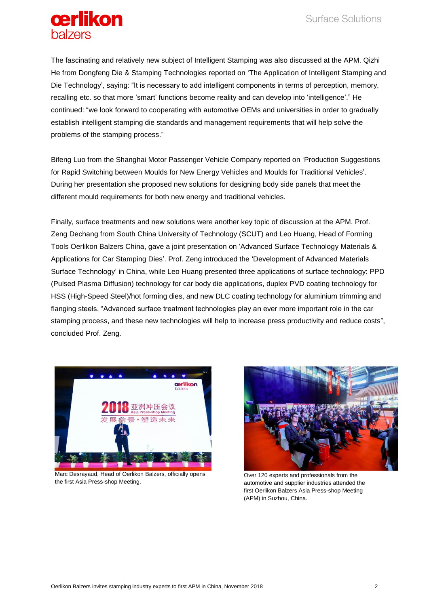

The fascinating and relatively new subject of Intelligent Stamping was also discussed at the APM. Qizhi He from Dongfeng Die & Stamping Technologies reported on 'The Application of Intelligent Stamping and Die Technology', saying: "It is necessary to add intelligent components in terms of perception, memory, recalling etc. so that more 'smart' functions become reality and can develop into 'intelligence'." He continued: "we look forward to cooperating with automotive OEMs and universities in order to gradually establish intelligent stamping die standards and management requirements that will help solve the problems of the stamping process."

Bifeng Luo from the Shanghai Motor Passenger Vehicle Company reported on 'Production Suggestions for Rapid Switching between Moulds for New Energy Vehicles and Moulds for Traditional Vehicles'. During her presentation she proposed new solutions for designing body side panels that meet the different mould requirements for both new energy and traditional vehicles.

Finally, surface treatments and new solutions were another key topic of discussion at the APM. Prof. Zeng Dechang from South China University of Technology (SCUT) and Leo Huang, Head of Forming Tools Oerlikon Balzers China, gave a joint presentation on 'Advanced Surface Technology Materials & Applications for Car Stamping Dies'. Prof. Zeng introduced the 'Development of Advanced Materials Surface Technology' in China, while Leo Huang presented three applications of surface technology: PPD (Pulsed Plasma Diffusion) technology for car body die applications, duplex PVD coating technology for HSS (High-Speed Steel)/hot forming dies, and new DLC coating technology for aluminium trimming and flanging steels. "Advanced surface treatment technologies play an ever more important role in the car stamping process, and these new technologies will help to increase press productivity and reduce costs", concluded Prof. Zeng.



Marc Desrayaud, Head of Oerlikon Balzers, officially opens the first Asia Press-shop Meeting.



Over 120 experts and professionals from the automotive and supplier industries attended the first Oerlikon Balzers Asia Press-shop Meeting (APM) in Suzhou, China.